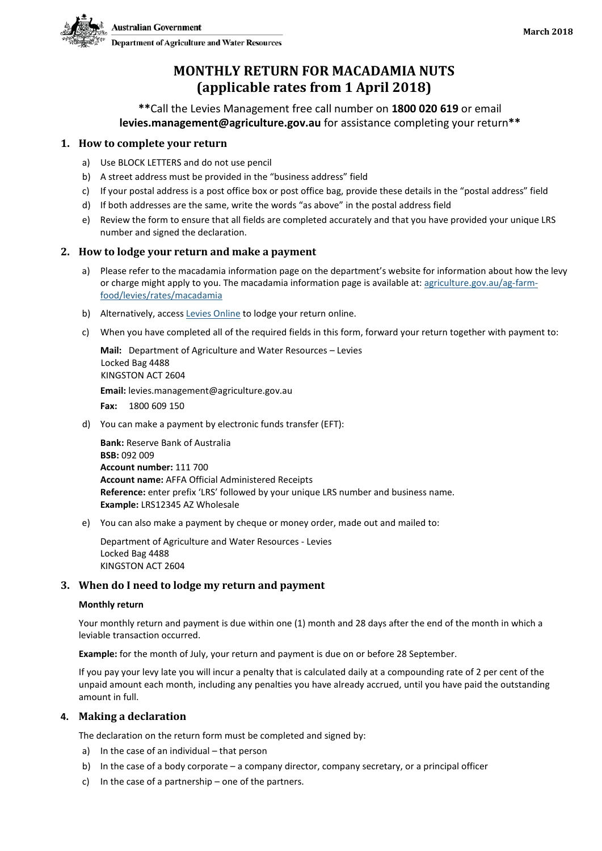

# **MONTHLY RETURN FOR MACADAMIA NUTS (applicable rates from 1 April 2018)**

**\*\***Call the Levies Management free call number on **1800 020 619** or email **levies.management@agriculture.gov.au** for assistance completing your return**\*\***

# **1. How to complete your return**

- a) Use BLOCK LETTERS and do not use pencil
- b) A street address must be provided in the "business address" field
- c) If your postal address is a post office box or post office bag, provide these details in the "postal address" field
- d) If both addresses are the same, write the words "as above" in the postal address field
- e) Review the form to ensure that all fields are completed accurately and that you have provided your unique LRS number and signed the declaration.

## **2. How to lodge your return and make a payment**

- a) Please refer to the macadamia information page on the department's website for information about how the levy or charge might apply to you. The macadamia information page is available at: [agriculture.gov.au/ag-farm](http://www.agriculture.gov.au/ag-farm-food/levies/rates/macadamia)[food/levies/rates/macadamia](http://www.agriculture.gov.au/ag-farm-food/levies/rates/macadamia)
- b) Alternatively, access [Levies Online](https://leviesonline.agriculture.gov.au/LRSONLINE/LRSOL_Start/LRSOL_Home.aspx?ck=382142505790) to lodge your return online.
- c) When you have completed all of the required fields in this form, forward your return together with payment to:

**Mail:** Department of Agriculture and Water Resources – Levies Locked Bag 4488 KINGSTON ACT 2604 **Email:** levies.management@agriculture.gov.au **Fax:** 1800 609 150

d) You can make a payment by electronic funds transfer (EFT):

**Bank:** Reserve Bank of Australia **BSB:** 092 009 **Account number:** 111 700 **Account name:** AFFA Official Administered Receipts **Reference:** enter prefix 'LRS' followed by your unique LRS number and business name. **Example:** LRS12345 AZ Wholesale

e) You can also make a payment by cheque or money order, made out and mailed to:

Department of Agriculture and Water Resources - Levies Locked Bag 4488 KINGSTON ACT 2604

### **3. When do I need to lodge my return and payment**

#### **Monthly return**

Your monthly return and payment is due within one (1) month and 28 days after the end of the month in which a leviable transaction occurred.

**Example:** for the month of July, your return and payment is due on or before 28 September.

If you pay your levy late you will incur a penalty that is calculated daily at a compounding rate of 2 per cent of the unpaid amount each month, including any penalties you have already accrued, until you have paid the outstanding amount in full.

## **4. Making a declaration**

The declaration on the return form must be completed and signed by:

- a) In the case of an individual that person
- b) In the case of a body corporate a company director, company secretary, or a principal officer
- c) In the case of a partnership one of the partners.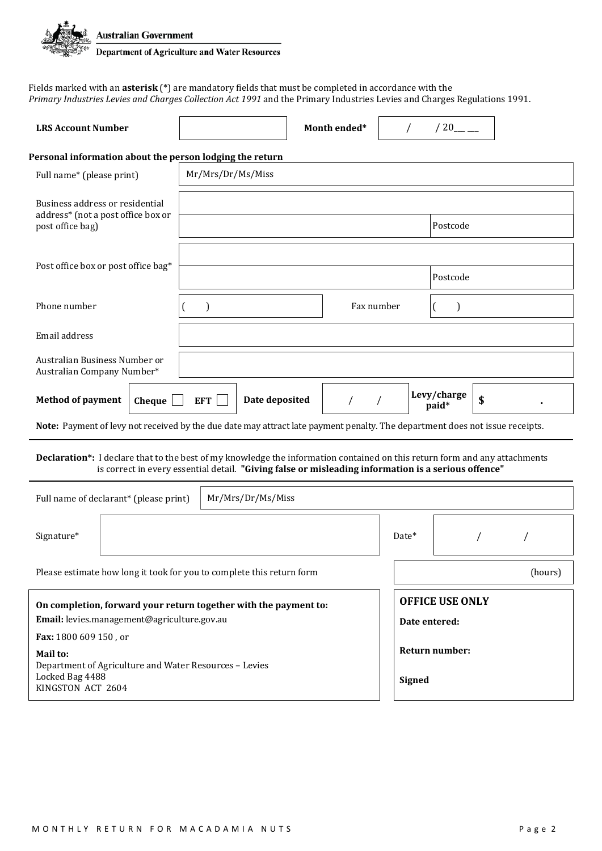

Fields marked with an **asterisk** (\*) are mandatory fields that must be completed in accordance with the *Primary Industries Levies and Charges Collection Act 1991* and the Primary Industries Levies and Charges Regulations 1991.

| <b>LRS Account Number</b>                                                                                                                                                                                                         |                   | Month ended* |                                         | $/20$ <sub>—</sub>   |    |  |
|-----------------------------------------------------------------------------------------------------------------------------------------------------------------------------------------------------------------------------------|-------------------|--------------|-----------------------------------------|----------------------|----|--|
| Personal information about the person lodging the return                                                                                                                                                                          |                   |              |                                         |                      |    |  |
| Full name* (please print)                                                                                                                                                                                                         | Mr/Mrs/Dr/Ms/Miss |              |                                         |                      |    |  |
| Business address or residential<br>address* (not a post office box or                                                                                                                                                             |                   |              |                                         |                      |    |  |
| post office bag)                                                                                                                                                                                                                  | Postcode          |              |                                         |                      |    |  |
| Post office box or post office bag*                                                                                                                                                                                               |                   |              |                                         |                      |    |  |
|                                                                                                                                                                                                                                   |                   |              |                                         | Postcode             |    |  |
| Phone number                                                                                                                                                                                                                      | $\mathcal{E}$     | Fax number   |                                         |                      |    |  |
| Email address                                                                                                                                                                                                                     |                   |              |                                         |                      |    |  |
| Australian Business Number or<br>Australian Company Number*                                                                                                                                                                       |                   |              |                                         |                      |    |  |
| <b>Method of payment</b><br>Date deposited<br>Cheque<br><b>EFT</b>                                                                                                                                                                |                   |              |                                         | Levy/charge<br>paid* | \$ |  |
| Note: Payment of levy not received by the due date may attract late payment penalty. The department does not issue receipts.                                                                                                      |                   |              |                                         |                      |    |  |
| Declaration*: I declare that to the best of my knowledge the information contained on this return form and any attachments<br>is correct in every essential detail. "Giving false or misleading information is a serious offence" |                   |              |                                         |                      |    |  |
| Full name of declarant* (please print)<br>Mr/Mrs/Dr/Ms/Miss                                                                                                                                                                       |                   |              |                                         |                      |    |  |
| Signature*                                                                                                                                                                                                                        |                   |              | Date*                                   |                      |    |  |
| Please estimate how long it took for you to complete this return form<br>(hours)                                                                                                                                                  |                   |              |                                         |                      |    |  |
| On completion, forward your return together with the payment to:<br>Email: levies.management@agriculture.gov.au                                                                                                                   |                   |              | <b>OFFICE USE ONLY</b><br>Date entered: |                      |    |  |
| Fax: 1800 609 150, or                                                                                                                                                                                                             |                   |              |                                         |                      |    |  |
| Mail to:<br>Department of Agriculture and Water Resources - Levies<br>Locked Bag 4488<br>KINGSTON ACT 2604                                                                                                                        |                   |              | Return number:<br><b>Signed</b>         |                      |    |  |